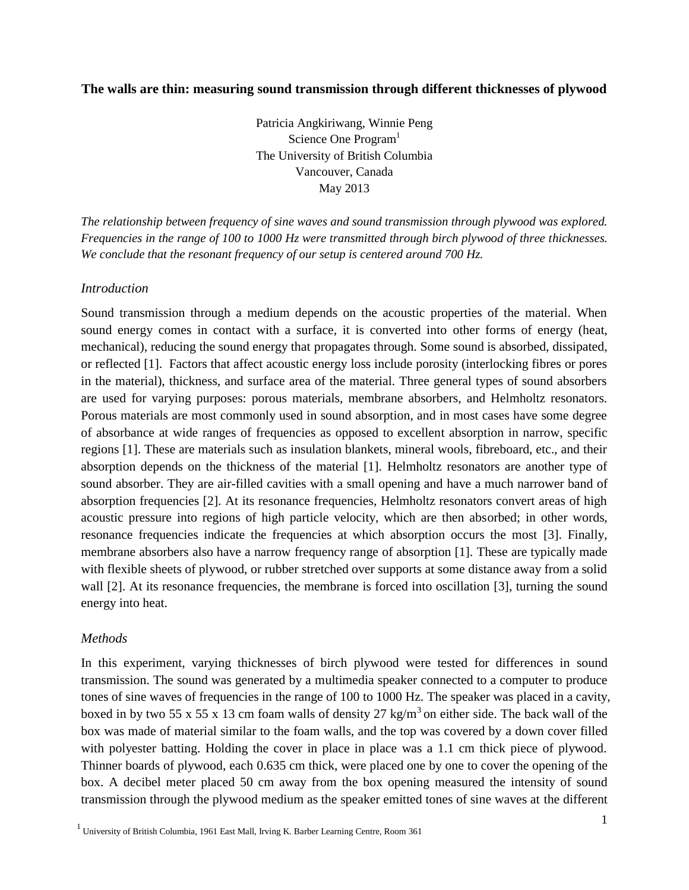# **The walls are thin: measuring sound transmission through different thicknesses of plywood**

Patricia Angkiriwang, Winnie Peng Science One Program<sup>1</sup> The University of British Columbia Vancouver, Canada May 2013

*The relationship between frequency of sine waves and sound transmission through plywood was explored. Frequencies in the range of 100 to 1000 Hz were transmitted through birch plywood of three thicknesses. We conclude that the resonant frequency of our setup is centered around 700 Hz.* 

# *Introduction*

Sound transmission through a medium depends on the acoustic properties of the material. When sound energy comes in contact with a surface, it is converted into other forms of energy (heat, mechanical), reducing the sound energy that propagates through. Some sound is absorbed, dissipated, or reflected [1]. Factors that affect acoustic energy loss include porosity (interlocking fibres or pores in the material), thickness, and surface area of the material. Three general types of sound absorbers are used for varying purposes: porous materials, membrane absorbers, and Helmholtz resonators. Porous materials are most commonly used in sound absorption, and in most cases have some degree of absorbance at wide ranges of frequencies as opposed to excellent absorption in narrow, specific regions [1]. These are materials such as insulation blankets, mineral wools, fibreboard, etc., and their absorption depends on the thickness of the material [1]. Helmholtz resonators are another type of sound absorber. They are air-filled cavities with a small opening and have a much narrower band of absorption frequencies [2]. At its resonance frequencies, Helmholtz resonators convert areas of high acoustic pressure into regions of high particle velocity, which are then absorbed; in other words, resonance frequencies indicate the frequencies at which absorption occurs the most [3]. Finally, membrane absorbers also have a narrow frequency range of absorption [1]. These are typically made with flexible sheets of plywood, or rubber stretched over supports at some distance away from a solid wall [2]. At its resonance frequencies, the membrane is forced into oscillation [3], turning the sound energy into heat.

## *Methods*

In this experiment, varying thicknesses of birch plywood were tested for differences in sound transmission. The sound was generated by a multimedia speaker connected to a computer to produce tones of sine waves of frequencies in the range of 100 to 1000 Hz. The speaker was placed in a cavity, boxed in by two 55 x 55 x 13 cm foam walls of density 27 kg/m<sup>3</sup> on either side. The back wall of the box was made of material similar to the foam walls, and the top was covered by a down cover filled with polyester batting. Holding the cover in place in place was a 1.1 cm thick piece of plywood. Thinner boards of plywood, each 0.635 cm thick, were placed one by one to cover the opening of the box. A decibel meter placed 50 cm away from the box opening measured the intensity of sound transmission through the plywood medium as the speaker emitted tones of sine waves at the different

 $1$  University of British Columbia, 1961 East Mall, Irving K. Barber Learning Centre, Room 361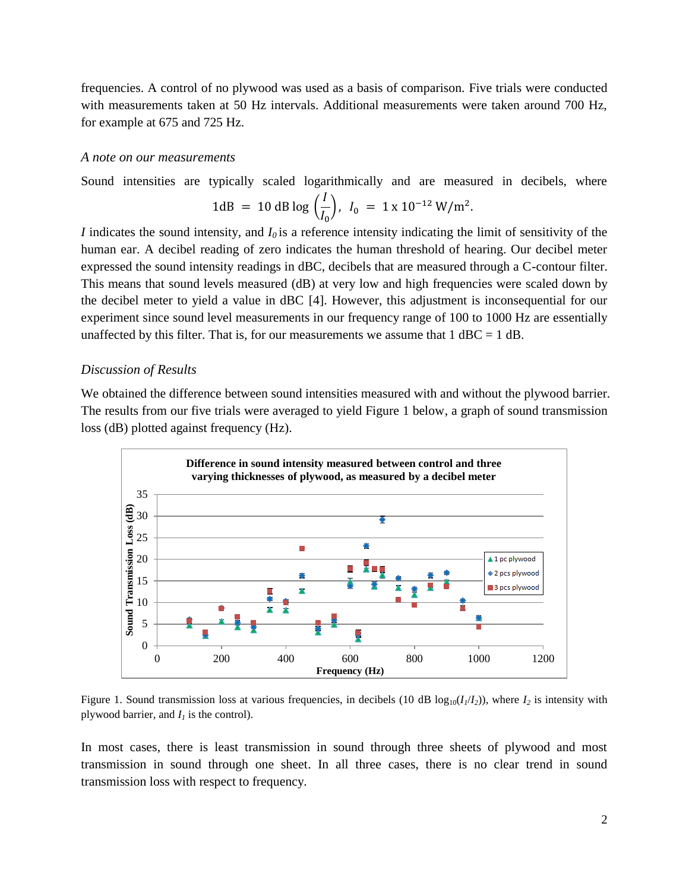frequencies. A control of no plywood was used as a basis of comparison. Five trials were conducted with measurements taken at 50 Hz intervals. Additional measurements were taken around 700 Hz, for example at 675 and 725 Hz.

#### *A note on our measurements*

Sound intensities are typically scaled logarithmically and are measured in decibels, where

1dB = 10 dB log 
$$
\left(\frac{l}{l_0}\right)
$$
,  $l_0 = 1 \times 10^{-12} \text{ W/m}^2$ .

*I* indicates the sound intensity, and  $I_0$  is a reference intensity indicating the limit of sensitivity of the human ear. A decibel reading of zero indicates the human threshold of hearing. Our decibel meter expressed the sound intensity readings in dBC, decibels that are measured through a C-contour filter. This means that sound levels measured (dB) at very low and high frequencies were scaled down by the decibel meter to yield a value in dBC [4]. However, this adjustment is inconsequential for our experiment since sound level measurements in our frequency range of 100 to 1000 Hz are essentially unaffected by this filter. That is, for our measurements we assume that  $1$  dBC =  $1$  dB.

#### *Discussion of Results*

We obtained the difference between sound intensities measured with and without the plywood barrier. The results from our five trials were averaged to yield Figure 1 below, a graph of sound transmission loss (dB) plotted against frequency (Hz).



Figure 1. Sound transmission loss at various frequencies, in decibels (10 dB  $log_{10}(I_1/I_2)$ ), where  $I_2$  is intensity with plywood barrier, and  $I<sub>I</sub>$  is the control).

In most cases, there is least transmission in sound through three sheets of plywood and most transmission in sound through one sheet. In all three cases, there is no clear trend in sound transmission loss with respect to frequency.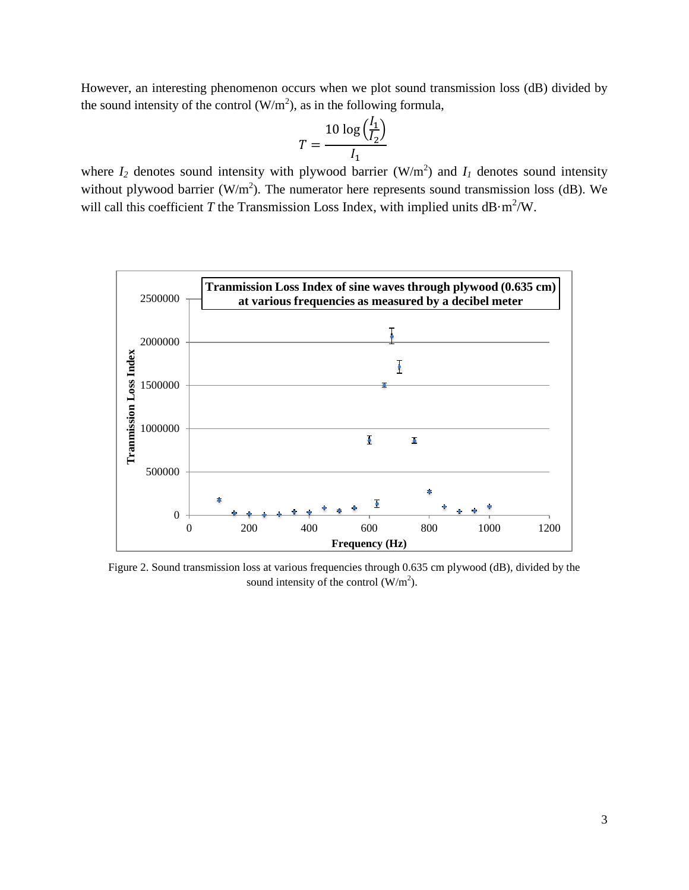However, an interesting phenomenon occurs when we plot sound transmission loss (dB) divided by the sound intensity of the control  $(W/m^2)$ , as in the following formula,

$$
T = \frac{10 \log \left(\frac{l_1}{l_2}\right)}{l_1}
$$

where  $I_2$  denotes sound intensity with plywood barrier (W/m<sup>2</sup>) and  $I_1$  denotes sound intensity without plywood barrier (W/m<sup>2</sup>). The numerator here represents sound transmission loss (dB). We will call this coefficient *T* the Transmission Loss Index, with implied units  $dB \cdot m^2/W$ .



Figure 2. Sound transmission loss at various frequencies through 0.635 cm plywood (dB), divided by the sound intensity of the control  $(W/m^2)$ .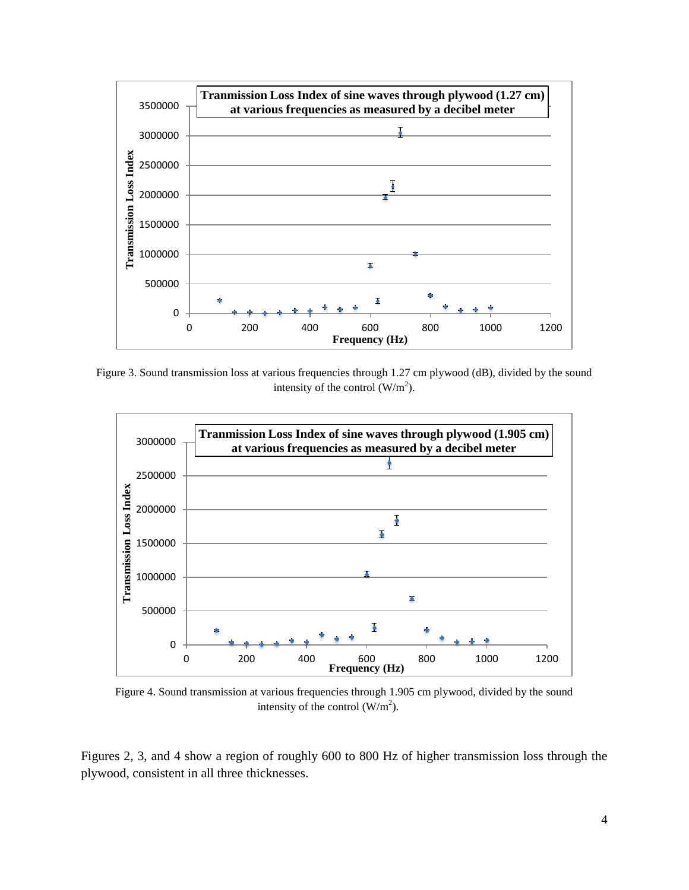

Figure 3. Sound transmission loss at various frequencies through 1.27 cm plywood (dB), divided by the sound intensity of the control  $(W/m^2)$ .



Figure 4. Sound transmission at various frequencies through 1.905 cm plywood, divided by the sound intensity of the control  $(W/m^2)$ .

Figures 2, 3, and 4 show a region of roughly 600 to 800 Hz of higher transmission loss through the plywood, consistent in all three thicknesses.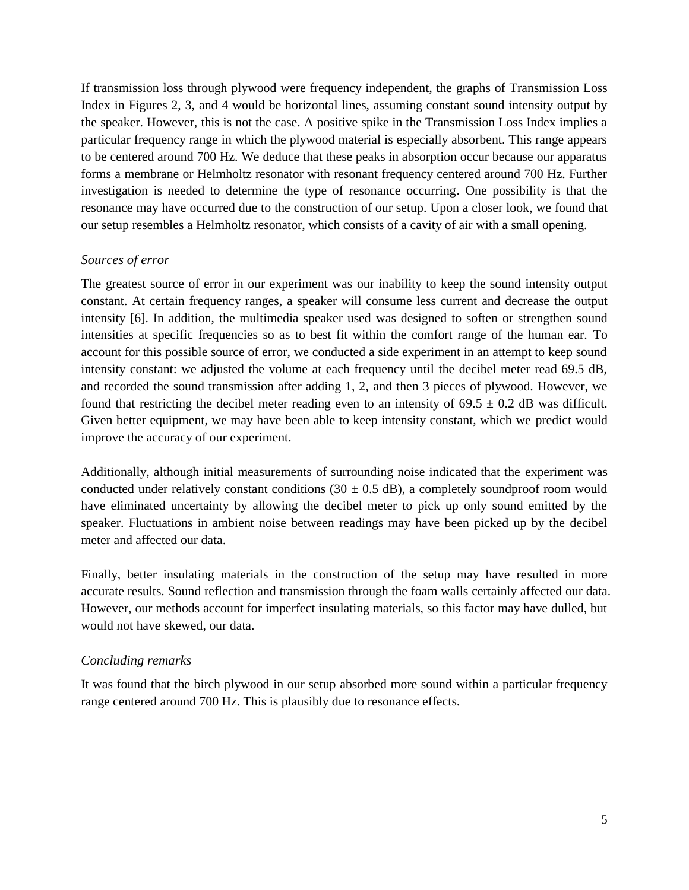If transmission loss through plywood were frequency independent, the graphs of Transmission Loss Index in Figures 2, 3, and 4 would be horizontal lines, assuming constant sound intensity output by the speaker. However, this is not the case. A positive spike in the Transmission Loss Index implies a particular frequency range in which the plywood material is especially absorbent. This range appears to be centered around 700 Hz. We deduce that these peaks in absorption occur because our apparatus forms a membrane or Helmholtz resonator with resonant frequency centered around 700 Hz. Further investigation is needed to determine the type of resonance occurring. One possibility is that the resonance may have occurred due to the construction of our setup. Upon a closer look, we found that our setup resembles a Helmholtz resonator, which consists of a cavity of air with a small opening.

## *Sources of error*

The greatest source of error in our experiment was our inability to keep the sound intensity output constant. At certain frequency ranges, a speaker will consume less current and decrease the output intensity [6]. In addition, the multimedia speaker used was designed to soften or strengthen sound intensities at specific frequencies so as to best fit within the comfort range of the human ear. To account for this possible source of error, we conducted a side experiment in an attempt to keep sound intensity constant: we adjusted the volume at each frequency until the decibel meter read 69.5 dB, and recorded the sound transmission after adding 1, 2, and then 3 pieces of plywood. However, we found that restricting the decibel meter reading even to an intensity of  $69.5 \pm 0.2$  dB was difficult. Given better equipment, we may have been able to keep intensity constant, which we predict would improve the accuracy of our experiment.

Additionally, although initial measurements of surrounding noise indicated that the experiment was conducted under relatively constant conditions  $(30 \pm 0.5 \text{ dB})$ , a completely soundproof room would have eliminated uncertainty by allowing the decibel meter to pick up only sound emitted by the speaker. Fluctuations in ambient noise between readings may have been picked up by the decibel meter and affected our data.

Finally, better insulating materials in the construction of the setup may have resulted in more accurate results. Sound reflection and transmission through the foam walls certainly affected our data. However, our methods account for imperfect insulating materials, so this factor may have dulled, but would not have skewed, our data.

# *Concluding remarks*

It was found that the birch plywood in our setup absorbed more sound within a particular frequency range centered around 700 Hz. This is plausibly due to resonance effects.